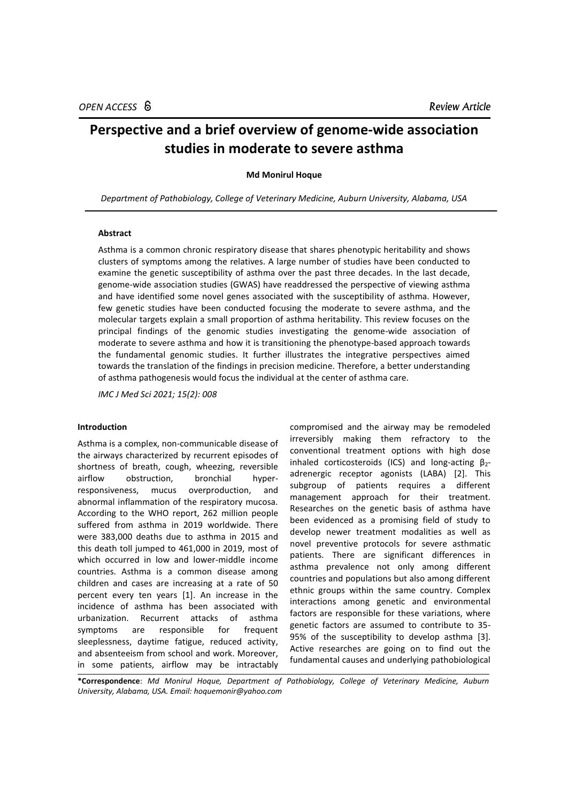# **Perspective and a brief overview of genome-wide association studies in moderate to severe asthma**

## **Md Monirul Hoque**

*Department of Pathobiology, College of Veterinary Medicine, Auburn University, Alabama, USA*

# **Abstract**

Asthma is a common chronic respiratory disease that shares phenotypic heritability and shows clusters of symptoms among the relatives. A large number of studies have been conducted to examine the genetic susceptibility of asthma over the past three decades. In the last decade, genome-wide association studies (GWAS) have readdressed the perspective of viewing asthma and have identified some novel genes associated with the susceptibility of asthma. However, few genetic studies have been conducted focusing the moderate to severe asthma, and the molecular targets explain a small proportion of asthma heritability. This review focuses on the principal findings of the genomic studies investigating the genome-wide association of moderate to severe asthma and how it is transitioning the phenotype-based approach towards the fundamental genomic studies. It further illustrates the integrative perspectives aimed towards the translation of the findings in precision medicine. Therefore, a better understanding of asthma pathogenesis would focus the individual at the center of asthma care.

*IMC J Med Sci 2021; 15(2): 008*

### **Introduction**

Asthma is a complex, non-communicable disease of the airways characterized by recurrent episodes of shortness of breath, cough, wheezing, reversible airflow obstruction, bronchial hyperresponsiveness, mucus overproduction, and abnormal inflammation of the respiratory mucosa. According to the WHO report, 262 million people suffered from asthma in 2019 worldwide. There were 383,000 deaths due to asthma in 2015 and this death toll jumped to 461,000 in 2019, most of which occurred in low and lower-middle income countries. Asthma is a common disease among children and cases are increasing at a rate of 50 percent every ten years [1]. An increase in the incidence of asthma has been associated with urbanization. Recurrent attacks of asthma symptoms are responsible for frequent sleeplessness, daytime fatigue, reduced activity, and absenteeism from school and work. Moreover, in some patients, airflow may be intractably

compromised and the airway may be remodeled irreversibly making them refractory to the conventional treatment options with high dose inhaled corticosteroids (ICS) and long-acting  $\beta_2$ adrenergic receptor agonists (LABA) [2]. This subgroup of patients requires a different management approach for their treatment. Researches on the genetic basis of asthma have been evidenced as a promising field of study to develop newer treatment modalities as well as novel preventive protocols for severe asthmatic patients. There are significant differences in asthma prevalence not only among different countries and populations but also among different ethnic groups within the same country. Complex interactions among genetic and environmental factors are responsible for these variations, where genetic factors are assumed to contribute to 35- 95% of the susceptibility to develop asthma [3]. Active researches are going on to find out the fundamental causes and underlying pathobiological

**\*Correspondence**: *Md Monirul Hoque, Department of Pathobiology, College of Veterinary Medicine, Auburn University, Alabama, USA. Email[: hoquemonir@yahoo.com](mailto:hoquemonir@yahoo.com)*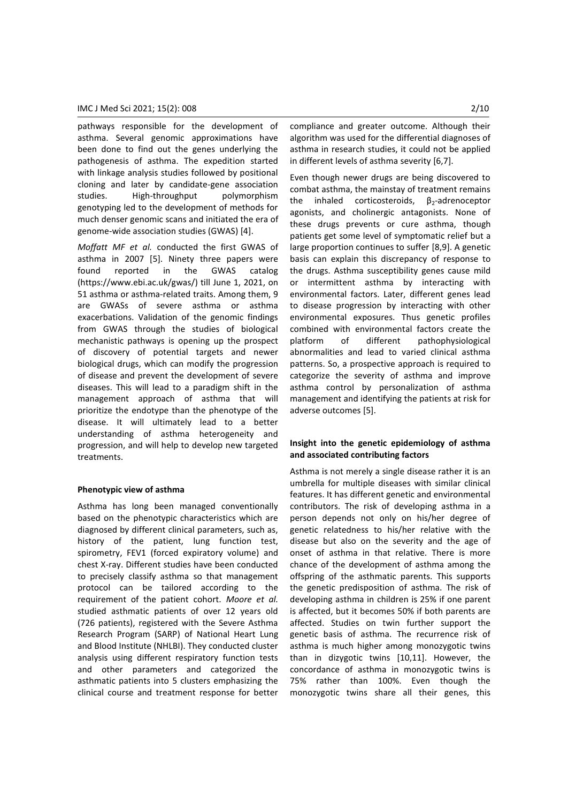pathways responsible for the development of asthma. Several genomic approximations have been done to find out the genes underlying the pathogenesis of asthma. The expedition started with linkage analysis studies followed by positional cloning and later by candidate-gene association studies. High-throughput polymorphism genotyping led to the development of methods for much denser genomic scans and initiated the era of genome-wide association studies (GWAS) [4].

*Moffatt MF et al.* conducted the first GWAS of asthma in 2007 [5]. Ninety three papers were found reported in the GWAS catalog (https://www.ebi.ac.uk/gwas/) till June 1, 2021, on 51 asthma or asthma-related traits. Among them, 9 are GWASs of severe asthma or asthma exacerbations. Validation of the genomic findings from GWAS through the studies of biological mechanistic pathways is opening up the prospect of discovery of potential targets and newer biological drugs, which can modify the progression of disease and prevent the development of severe diseases. This will lead to a paradigm shift in the management approach of asthma that will prioritize the endotype than the phenotype of the disease. It will ultimately lead to a better understanding of asthma heterogeneity and progression, and will help to develop new targeted treatments.

#### **Phenotypic view of asthma**

Asthma has long been managed conventionally based on the phenotypic characteristics which are diagnosed by different clinical parameters, such as, history of the patient, lung function test, spirometry, FEV1 (forced expiratory volume) and chest X-ray. Different studies have been conducted to precisely classify asthma so that management protocol can be tailored according to the requirement of the patient cohort. *Moore et al.* studied asthmatic patients of over 12 years old (726 patients), registered with the Severe Asthma Research Program (SARP) of National Heart Lung and Blood Institute (NHLBI). They conducted cluster analysis using different respiratory function tests and other parameters and categorized the asthmatic patients into 5 clusters emphasizing the clinical course and treatment response for better

compliance and greater outcome. Although their algorithm was used for the differential diagnoses of asthma in research studies, it could not be applied in different levels of asthma severity [6,7].

Even though newer drugs are being discovered to combat asthma, the mainstay of treatment remains the inhaled corticosteroids,  $\beta_2$ -adrenoceptor agonists, and cholinergic antagonists. None of these drugs prevents or cure asthma, though patients get some level of symptomatic relief but a large proportion continues to suffer [8,9]. A genetic basis can explain this discrepancy of response to the drugs. Asthma susceptibility genes cause mild or intermittent asthma by interacting with environmental factors. Later, different genes lead to disease progression by interacting with other environmental exposures. Thus genetic profiles combined with environmental factors create the platform of different pathophysiological abnormalities and lead to varied clinical asthma patterns. So, a prospective approach is required to categorize the severity of asthma and improve asthma control by personalization of asthma management and identifying the patients at risk for adverse outcomes [5].

# **Insight into the genetic epidemiology of asthma and associated contributing factors**

Asthma is not merely a single disease rather it is an umbrella for multiple diseases with similar clinical features. It has different genetic and environmental contributors. The risk of developing asthma in a person depends not only on his/her degree of genetic relatedness to his/her relative with the disease but also on the severity and the age of onset of asthma in that relative. There is more chance of the development of asthma among the offspring of the asthmatic parents. This supports the genetic predisposition of asthma. The risk of developing asthma in children is 25% if one parent is affected, but it becomes 50% if both parents are affected. Studies on twin further support the genetic basis of asthma. The recurrence risk of asthma is much higher among monozygotic twins than in dizygotic twins [10,11]. However, the concordance of asthma in monozygotic twins is 75% rather than 100%. Even though the monozygotic twins share all their genes, this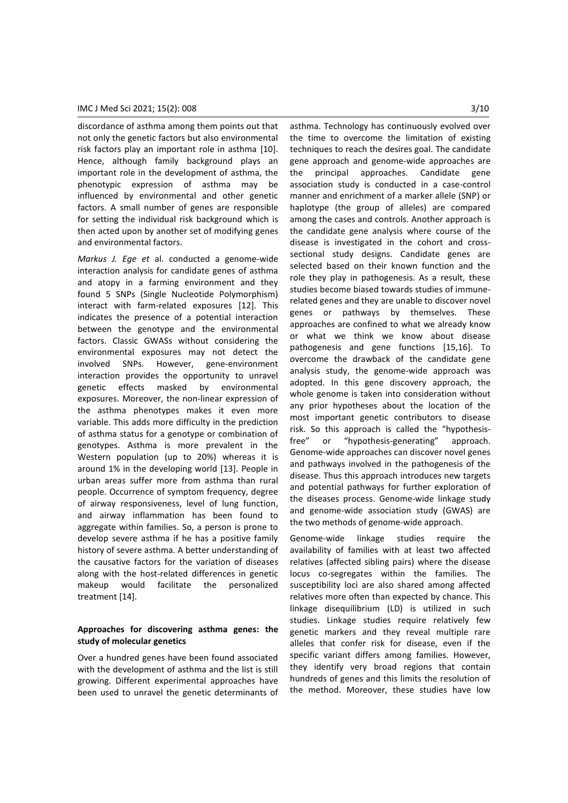discordance of asthma among them points out that not only the genetic factors but also environmental risk factors play an important role in asthma [10]. Hence, although family background plays an important role in the development of asthma, the phenotypic expression of asthma may be influenced by environmental and other genetic factors. A small number of genes are responsible for setting the individual risk background which is then acted upon by another set of modifying genes and environmental factors.

*Markus J. Ege et* al. conducted a genome-wide interaction analysis for candidate genes of asthma and atopy in a farming environment and they found 5 SNPs (Single Nucleotide Polymorphism) interact with farm-related exposures [12]. This indicates the presence of a potential interaction between the genotype and the environmental factors. Classic GWASs without considering the environmental exposures may not detect the involved SNPs. However, gene-environment interaction provides the opportunity to unravel genetic effects masked by environmental exposures. Moreover, the non-linear expression of the asthma phenotypes makes it even more variable. This adds more difficulty in the prediction of asthma status for a genotype or combination of genotypes. Asthma is more prevalent in the Western population (up to 20%) whereas it is around 1% in the developing world [13]. People in urban areas suffer more from asthma than rural people. Occurrence of symptom frequency, degree of airway responsiveness, level of lung function, and airway inflammation has been found to aggregate within families. So, a person is prone to develop severe asthma if he has a positive family history of severe asthma. A better understanding of the causative factors for the variation of diseases along with the host-related differences in genetic makeup would facilitate the personalized treatment [14].

## **Approaches for discovering asthma genes: the study of molecular genetics**

Over a hundred genes have been found associated with the development of asthma and the list is still growing. Different experimental approaches have been used to unravel the genetic determinants of asthma. Technology has continuously evolved over the time to overcome the limitation of existing techniques to reach the desires goal. The candidate gene approach and genome-wide approaches are the principal approaches. Candidate gene association study is conducted in a case-control manner and enrichment of a marker allele (SNP) or haplotype (the group of alleles) are compared among the cases and controls. Another approach is the candidate gene analysis where course of the disease is investigated in the cohort and crosssectional study designs. Candidate genes are selected based on their known function and the role they play in pathogenesis. As a result, these studies become biased towards studies of immunerelated genes and they are unable to discover novel genes or pathways by themselves. These approaches are confined to what we already know or what we think we know about disease pathogenesis and gene functions [15,16]. To overcome the drawback of the candidate gene analysis study, the genome-wide approach was adopted. In this gene discovery approach, the whole genome is taken into consideration without any prior hypotheses about the location of the most important genetic contributors to disease risk. So this approach is called the "hypothesisfree" or "hypothesis-generating" approach. Genome-wide approaches can discover novel genes and pathways involved in the pathogenesis of the disease. Thus this approach introduces new targets and potential pathways for further exploration of the diseases process. Genome-wide linkage study and genome-wide association study (GWAS) are the two methods of genome-wide approach.

Genome-wide linkage studies require the availability of families with at least two affected relatives (affected sibling pairs) where the disease locus co-segregates within the families. The susceptibility loci are also shared among affected relatives more often than expected by chance. This linkage disequilibrium (LD) is utilized in such studies. Linkage studies require relatively few genetic markers and they reveal multiple rare alleles that confer risk for disease, even if the specific variant differs among families. However, they identify very broad regions that contain hundreds of genes and this limits the resolution of the method. Moreover, these studies have low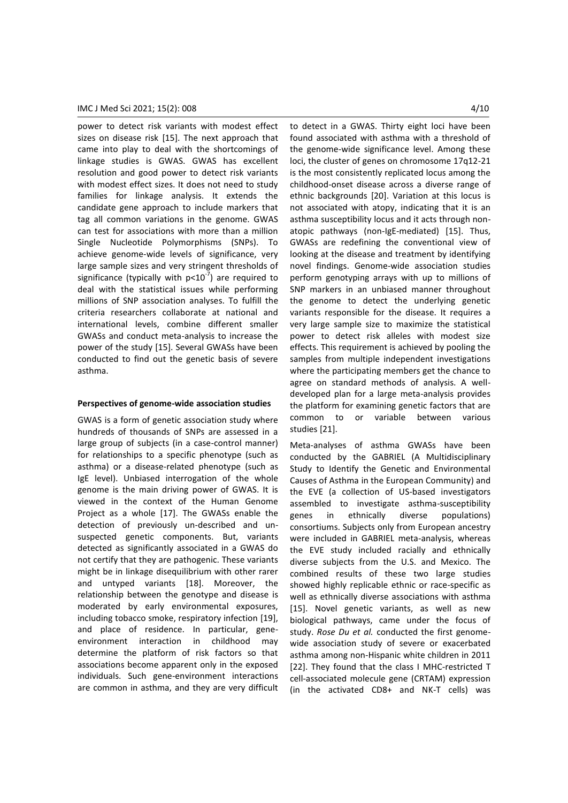power to detect risk variants with modest effect sizes on disease risk [15]. The next approach that came into play to deal with the shortcomings of linkage studies is GWAS. GWAS has excellent resolution and good power to detect risk variants with modest effect sizes. It does not need to study families for linkage analysis. It extends the candidate gene approach to include markers that tag all common variations in the genome. GWAS can test for associations with more than a million Single Nucleotide Polymorphisms (SNPs). To achieve genome-wide levels of significance, very large sample sizes and very stringent thresholds of significance (typically with  $p<10^{-7}$ ) are required to deal with the statistical issues while performing millions of SNP association analyses. To fulfill the criteria researchers collaborate at national and international levels, combine different smaller GWASs and conduct meta-analysis to increase the power of the study [15]. Several GWASs have been conducted to find out the genetic basis of severe asthma.

## **Perspectives of genome-wide association studies**

GWAS is a form of genetic association study where hundreds of thousands of SNPs are assessed in a large group of subjects (in a case-control manner) for relationships to a specific phenotype (such as asthma) or a disease-related phenotype (such as IgE level). Unbiased interrogation of the whole genome is the main driving power of GWAS. It is viewed in the context of the Human Genome Project as a whole [17]. The GWASs enable the detection of previously un-described and unsuspected genetic components. But, variants detected as significantly associated in a GWAS do not certify that they are pathogenic. These variants might be in linkage disequilibrium with other rarer and untyped variants [18]. Moreover, the relationship between the genotype and disease is moderated by early environmental exposures, including tobacco smoke, respiratory infection [19], and place of residence. In particular, geneenvironment interaction in childhood may determine the platform of risk factors so that associations become apparent only in the exposed individuals. Such gene-environment interactions are common in asthma, and they are very difficult to detect in a GWAS. Thirty eight loci have been found associated with asthma with a threshold of the genome-wide significance level. Among these loci, the cluster of genes on chromosome 17q12-21 is the most consistently replicated locus among the childhood-onset disease across a diverse range of ethnic backgrounds [20]. Variation at this locus is not associated with atopy, indicating that it is an asthma susceptibility locus and it acts through nonatopic pathways (non-IgE-mediated) [15]. Thus, GWASs are redefining the conventional view of looking at the disease and treatment by identifying novel findings. Genome-wide association studies perform genotyping arrays with up to millions of SNP markers in an unbiased manner throughout the genome to detect the underlying genetic variants responsible for the disease. It requires a very large sample size to maximize the statistical power to detect risk alleles with modest size effects. This requirement is achieved by pooling the samples from multiple independent investigations where the participating members get the chance to agree on standard methods of analysis. A welldeveloped plan for a large meta-analysis provides the platform for examining genetic factors that are common to or variable between various studies [21].

Meta-analyses of asthma GWASs have been conducted by the GABRIEL (A Multidisciplinary Study to Identify the Genetic and Environmental Causes of Asthma in the European Community) and the EVE (a collection of US-based investigators assembled to investigate asthma-susceptibility genes in ethnically diverse populations) consortiums. Subjects only from European ancestry were included in GABRIEL meta-analysis, whereas the EVE study included racially and ethnically diverse subjects from the U.S. and Mexico. The combined results of these two large studies showed highly replicable ethnic or race-specific as well as ethnically diverse associations with asthma [15]. Novel genetic variants, as well as new biological pathways, came under the focus of study. *Rose Du et al.* conducted the first genomewide association study of severe or exacerbated asthma among non-Hispanic white children in 2011 [22]. They found that the class I MHC-restricted T cell-associated molecule gene (CRTAM) expression (in the activated CD8+ and NK-T cells) was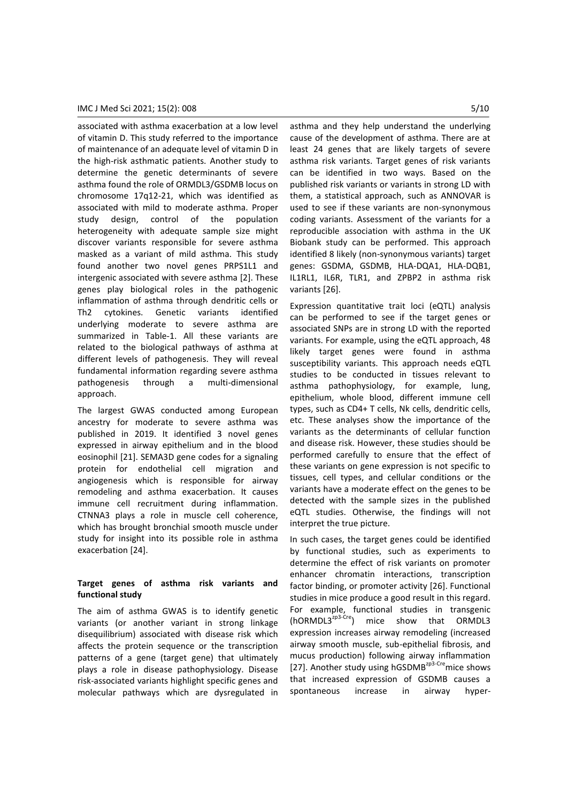## IMC J Med Sci 2021; 15(2): 008 5/10

associated with asthma exacerbation at a low level of vitamin D. This study referred to the importance of maintenance of an adequate level of vitamin D in the high-risk asthmatic patients. Another study to determine the genetic determinants of severe asthma found the role of ORMDL3/GSDMB locus on chromosome 17q12-21, which was identified as associated with mild to moderate asthma. Proper study design, control of the population heterogeneity with adequate sample size might discover variants responsible for severe asthma masked as a variant of mild asthma. This study found another two novel genes PRPS1L1 and intergenic associated with severe asthma [2]. These genes play biological roles in the pathogenic inflammation of asthma through dendritic cells or Th2 cytokines. Genetic variants identified underlying moderate to severe asthma are summarized in Table-1. All these variants are related to the biological pathways of asthma at different levels of pathogenesis. They will reveal fundamental information regarding severe asthma pathogenesis through a multi-dimensional approach.

The largest GWAS conducted among European ancestry for moderate to severe asthma was published in 2019. It identified 3 novel genes expressed in airway epithelium and in the blood eosinophil [21]. SEMA3D gene codes for a signaling protein for endothelial cell migration and angiogenesis which is responsible for airway remodeling and asthma exacerbation. It causes immune cell recruitment during inflammation. CTNNA3 plays a role in muscle cell coherence, which has brought bronchial smooth muscle under study for insight into its possible role in asthma exacerbation [24].

# **Target genes of asthma risk variants and functional study**

The aim of asthma GWAS is to identify genetic variants (or another variant in strong linkage disequilibrium) associated with disease risk which affects the protein sequence or the transcription patterns of a gene (target gene) that ultimately plays a role in disease pathophysiology. Disease risk-associated variants highlight specific genes and molecular pathways which are dysregulated in asthma and they help understand the underlying cause of the development of asthma. There are at least 24 genes that are likely targets of severe asthma risk variants. Target genes of risk variants can be identified in two ways. Based on the published risk variants or variants in strong LD with them, a statistical approach, such as ANNOVAR is used to see if these variants are non-synonymous coding variants. Assessment of the variants for a reproducible association with asthma in the UK Biobank study can be performed. This approach identified 8 likely (non-synonymous variants) target genes: GSDMA, GSDMB, HLA-DQA1, HLA-DQB1, IL1RL1, IL6R, TLR1, and ZPBP2 in asthma risk variants [26].

Expression quantitative trait loci (eQTL) analysis can be performed to see if the target genes or associated SNPs are in strong LD with the reported variants. For example, using the eQTL approach, 48 likely target genes were found in asthma susceptibility variants. This approach needs eQTL studies to be conducted in tissues relevant to asthma pathophysiology, for example, lung, epithelium, whole blood, different immune cell types, such as CD4+ T cells, Nk cells, dendritic cells, etc. These analyses show the importance of the variants as the determinants of cellular function and disease risk. However, these studies should be performed carefully to ensure that the effect of these variants on gene expression is not specific to tissues, cell types, and cellular conditions or the variants have a moderate effect on the genes to be detected with the sample sizes in the published eQTL studies. Otherwise, the findings will not interpret the true picture.

In such cases, the target genes could be identified by functional studies, such as experiments to determine the effect of risk variants on promoter enhancer chromatin interactions, transcription factor binding, or promoter activity [26]. Functional studies in mice produce a good result in this regard. For example, functional studies in transgenic  $(hORMDL3<sup>zp3-Cre</sup>)$  mice show that ORMDL3 expression increases airway remodeling (increased airway smooth muscle, sub-epithelial fibrosis, and mucus production) following airway inflammation [27]. Another study using hGSDMB<sup>zp3-Cre</sup>mice shows that increased expression of GSDMB causes a spontaneous increase in airway hyper-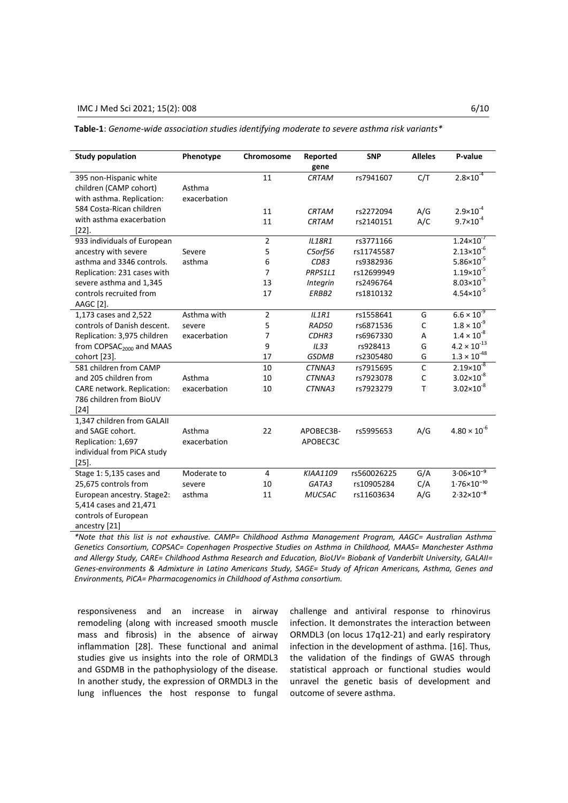# IMC J Med Sci 2021; 15(2): 008 6/10

**Table-1**: *Genome-wide association studies identifying moderate to severe asthma risk variants\**

| <b>Study population</b>              | Phenotype    | Chromosome     | Reported      | <b>SNP</b>  | <b>Alleles</b> | P-value                |
|--------------------------------------|--------------|----------------|---------------|-------------|----------------|------------------------|
|                                      |              |                | gene          |             |                |                        |
| 395 non-Hispanic white               |              | 11             | <b>CRTAM</b>  | rs7941607   | C/T            | $2.8 \times 10^{-4}$   |
| children (CAMP cohort)               | Asthma       |                |               |             |                |                        |
| with asthma. Replication:            | exacerbation |                |               |             |                |                        |
| 584 Costa-Rican children             |              | 11             | <b>CRTAM</b>  | rs2272094   | A/G            | $2.9 \times 10^{-4}$   |
| with asthma exacerbation             |              | 11             | <b>CRTAM</b>  | rs2140151   | A/C            | $9.7 \times 10^{-4}$   |
| $[22]$ .                             |              |                |               |             |                |                        |
| 933 individuals of European          |              | $\overline{2}$ | <b>IL18R1</b> | rs3771166   |                | $1.24 \times 10^{-7}$  |
| ancestry with severe                 | Severe       | 5              | C5orf56       | rs11745587  |                | $2.13 \times 10^{-6}$  |
| asthma and 3346 controls.            | asthma       | 6              | CD83          | rs9382936   |                | $5.86 \times 10^{-5}$  |
| Replication: 231 cases with          |              | 7              | PRPS1L1       | rs12699949  |                | $1.19 \times 10^{-5}$  |
| severe asthma and 1,345              |              | 13             | Integrin      | rs2496764   |                | $8.03 \times 10^{-5}$  |
| controls recruited from              |              | 17             | ERBB2         | rs1810132   |                | $4.54 \times 10^{-5}$  |
| AAGC [2].                            |              |                |               |             |                |                        |
| 1,173 cases and 2,522                | Asthma with  | $\overline{2}$ | ILIR1         | rs1558641   | G              | $6.6 \times 10^{-9}$   |
| controls of Danish descent.          | severe       | 5              | RAD50         | rs6871536   | C              | $1.8 \times 10^{-9}$   |
| Replication: 3,975 children          | exacerbation | 7              | CDHR3         | rs6967330   | A              | $1.4 \times 10^{-8}$   |
| from COPSAC <sub>2000</sub> and MAAS |              | 9              | IL33          | rs928413    | G              | $4.2 \times 10^{-13}$  |
| cohort [23].                         |              | 17             | <b>GSDMB</b>  | rs2305480   | G              | $1.3 \times 10^{-48}$  |
| 581 children from CAMP               |              | 10             | CTNNA3        | rs7915695   | C              | $2.19 \times 10^{-8}$  |
| and 205 children from                | Asthma       | 10             | CTNNA3        | rs7923078   | $\mathsf{C}$   | $3.02 \times 10^{-8}$  |
| CARE network. Replication:           | exacerbation | 10             | CTNNA3        | rs7923279   | T              | $3.02 \times 10^{-8}$  |
| 786 children from BioUV              |              |                |               |             |                |                        |
| $[24]$                               |              |                |               |             |                |                        |
| 1,347 children from GALAII           |              |                |               |             |                |                        |
| and SAGE cohort.                     | Asthma       | 22             | APOBEC3B-     | rs5995653   | A/G            | $4.80 \times 10^{-6}$  |
| Replication: 1,697                   | exacerbation |                | APOBEC3C      |             |                |                        |
| individual from PiCA study           |              |                |               |             |                |                        |
| $[25]$ .                             |              |                |               |             |                |                        |
| Stage 1: 5,135 cases and             | Moderate to  | $\overline{4}$ | KIAA1109      | rs560026225 | G/A            | $3.06 \times 10^{-9}$  |
| 25,675 controls from                 | severe       | 10             | GATA3         | rs10905284  | C/A            | $1.76 \times 10^{-10}$ |
| European ancestry. Stage2:           | asthma       | 11             | MUC5AC        | rs11603634  | A/G            | $2.32 \times 10^{-8}$  |
| 5,414 cases and 21,471               |              |                |               |             |                |                        |
| controls of European                 |              |                |               |             |                |                        |
| ancestry [21]                        |              |                |               |             |                |                        |
|                                      |              |                |               |             |                |                        |

*\*Note that this list is not exhaustive. CAMP= Childhood Asthma Management Program, AAGC= Australian Asthma Genetics Consortium, COPSAC= Copenhagen Prospective Studies on Asthma in Childhood, MAAS= Manchester Asthma and Allergy Study, CARE= Childhood Asthma Research and Education, BioUV= Biobank of Vanderbilt University, GALAII= Genes-environments & Admixture in Latino Americans Study, SAGE= Study of African Americans, Asthma, Genes and Environments, PiCA= Pharmacogenomics in Childhood of Asthma consortium.*

responsiveness and an increase in airway remodeling (along with increased smooth muscle mass and fibrosis) in the absence of airway inflammation [28]. These functional and animal studies give us insights into the role of ORMDL3 and GSDMB in the pathophysiology of the disease. In another study, the expression of ORMDL3 in the lung influences the host response to fungal challenge and antiviral response to rhinovirus infection. It demonstrates the interaction between ORMDL3 (on locus 17q12-21) and early respiratory infection in the development of asthma. [16]. Thus, the validation of the findings of GWAS through statistical approach or functional studies would unravel the genetic basis of development and outcome of severe asthma.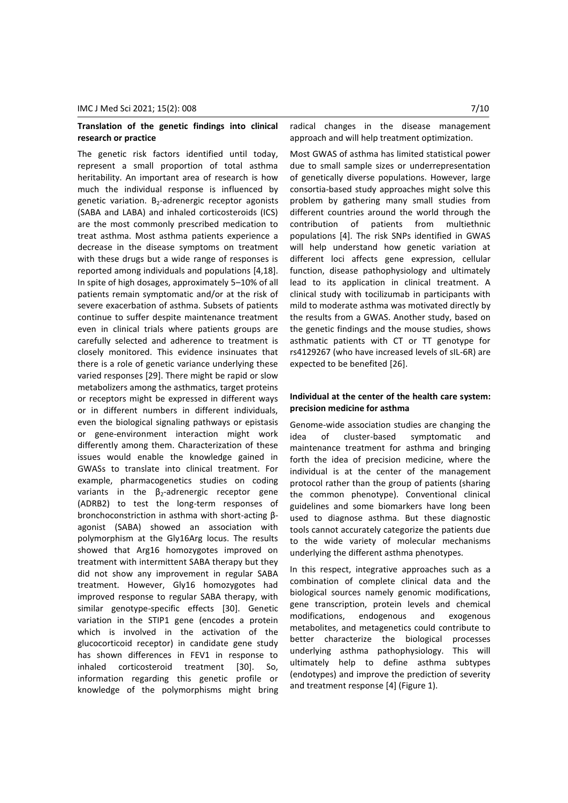## **Translation of the genetic findings into clinical research or practice**

The genetic risk factors identified until today, represent a small proportion of total asthma heritability. An important area of research is how much the individual response is influenced by genetic variation. B<sub>2</sub>-adrenergic receptor agonists (SABA and LABA) and inhaled corticosteroids (ICS) are the most commonly prescribed medication to treat asthma. Most asthma patients experience a decrease in the disease symptoms on treatment with these drugs but a wide range of responses is reported among individuals and populations [4,18]. In spite of high dosages, approximately 5–10% of all patients remain symptomatic and/or at the risk of severe exacerbation of asthma. Subsets of patients continue to suffer despite maintenance treatment even in clinical trials where patients groups are carefully selected and adherence to treatment is closely monitored. This evidence insinuates that there is a role of genetic variance underlying these varied responses [29]. There might be rapid or slow metabolizers among the asthmatics, target proteins or receptors might be expressed in different ways or in different numbers in different individuals, even the biological signaling pathways or epistasis or gene-environment interaction might work differently among them. Characterization of these issues would enable the knowledge gained in GWASs to translate into clinical treatment. For example, pharmacogenetics studies on coding variants in the  $\beta_2$ -adrenergic receptor gene (ADRB2) to test the long-term responses of bronchoconstriction in asthma with short-acting βagonist (SABA) showed an association with polymorphism at the Gly16Arg locus. The results showed that Arg16 homozygotes improved on treatment with intermittent SABA therapy but they did not show any improvement in regular SABA treatment. However, Gly16 homozygotes had improved response to regular SABA therapy, with similar genotype-specific effects [30]. Genetic variation in the STIP1 gene (encodes a protein which is involved in the activation of the glucocorticoid receptor) in candidate gene study has shown differences in FEV1 in response to inhaled corticosteroid treatment [30]. So, information regarding this genetic profile or knowledge of the polymorphisms might bring

radical changes in the disease management approach and will help treatment optimization.

Most GWAS of asthma has limited statistical power due to small sample sizes or underrepresentation of genetically diverse populations. However, large consortia-based study approaches might solve this problem by gathering many small studies from different countries around the world through the contribution of patients from multiethnic populations [4]. The risk SNPs identified in GWAS will help understand how genetic variation at different loci affects gene expression, cellular function, disease pathophysiology and ultimately lead to its application in clinical treatment. A clinical study with tocilizumab in participants with mild to moderate asthma was motivated directly by the results from a GWAS. Another study, based on the genetic findings and the mouse studies, shows asthmatic patients with CT or TT genotype for rs4129267 (who have increased levels of sIL-6R) are expected to be benefited [26].

## **Individual at the center of the health care system: precision medicine for asthma**

Genome-wide association studies are changing the idea of cluster-based symptomatic and maintenance treatment for asthma and bringing forth the idea of precision medicine, where the individual is at the center of the management protocol rather than the group of patients (sharing the common phenotype). Conventional clinical guidelines and some biomarkers have long been used to diagnose asthma. But these diagnostic tools cannot accurately categorize the patients due to the wide variety of molecular mechanisms underlying the different asthma phenotypes.

In this respect, integrative approaches such as a combination of complete clinical data and the biological sources namely genomic modifications, gene transcription, protein levels and chemical modifications, endogenous and exogenous metabolites, and metagenetics could contribute to better characterize the biological processes underlying asthma pathophysiology. This will ultimately help to define asthma subtypes (endotypes) and improve the prediction of severity and treatment response [4] (Figure 1).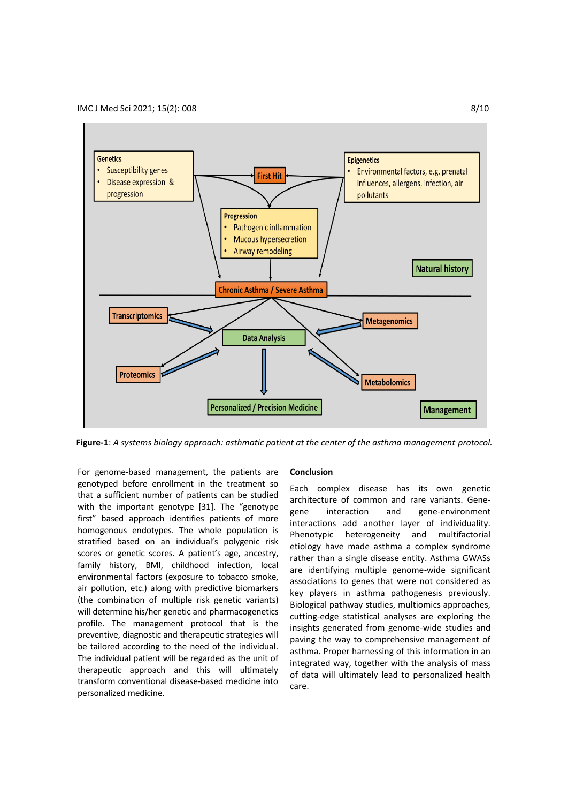

**Figure-1**: *A systems biology approach: asthmatic patient at the center of the asthma management protocol.*

For genome-based management, the patients are genotyped before enrollment in the treatment so that a sufficient number of patients can be studied with the important genotype [31]. The "genotype first" based approach identifies patients of more homogenous endotypes. The whole population is stratified based on an individual's polygenic risk scores or genetic scores. A patient's age, ancestry, family history, BMI, childhood infection, local environmental factors (exposure to tobacco smoke, air pollution, etc.) along with predictive biomarkers (the combination of multiple risk genetic variants) will determine his/her genetic and pharmacogenetics profile. The management protocol that is the preventive, diagnostic and therapeutic strategies will be tailored according to the need of the individual. The individual patient will be regarded as the unit of therapeutic approach and this will ultimately transform conventional disease-based medicine into personalized medicine.

#### **Conclusion**

Each complex disease has its own genetic architecture of common and rare variants. Genegene interaction and gene-environment interactions add another layer of individuality. Phenotypic heterogeneity and multifactorial etiology have made asthma a complex syndrome rather than a single disease entity. Asthma GWASs are identifying multiple genome-wide significant associations to genes that were not considered as key players in asthma pathogenesis previously. Biological pathway studies, multiomics approaches, cutting-edge statistical analyses are exploring the insights generated from genome-wide studies and paving the way to comprehensive management of asthma. Proper harnessing of this information in an integrated way, together with the analysis of mass of data will ultimately lead to personalized health care.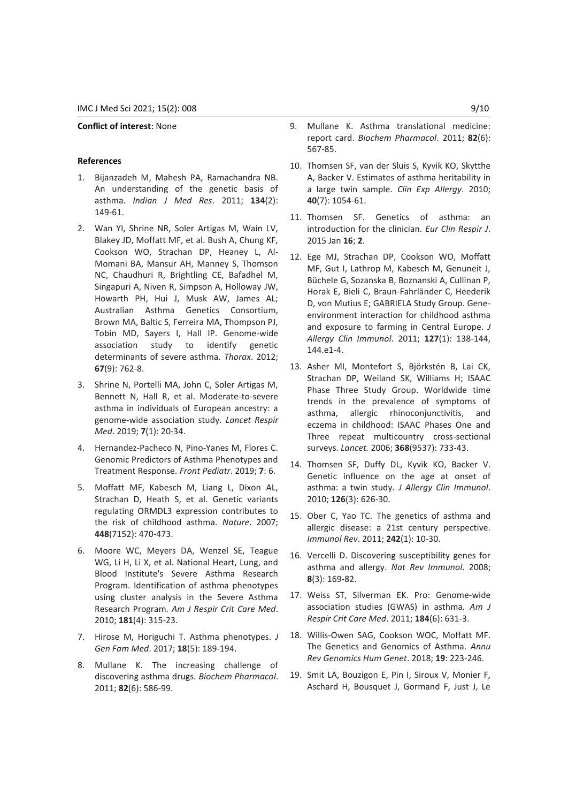#### **Conflict of interest**: None

## **References**

- 1. Bijanzadeh M, Mahesh PA, Ramachandra NB. An understanding of the genetic basis of asthma. *Indian J Med Res*. 2011; **134**(2): 149-61.
- 2. Wan YI, Shrine NR, Soler Artigas M, Wain LV, Blakey JD, Moffatt MF, et al. Bush A, Chung KF, Cookson WO, Strachan DP, Heaney L, Al-Momani BA, Mansur AH, Manney S, Thomson NC, Chaudhuri R, Brightling CE, Bafadhel M, Singapuri A, Niven R, Simpson A, Holloway JW, Howarth PH, Hui J, Musk AW, James AL; Australian Asthma Genetics Consortium, Brown MA, Baltic S, Ferreira MA, Thompson PJ, Tobin MD, Sayers I, Hall IP. Genome-wide association study to identify genetic determinants of severe asthma. *Thorax*. 2012; **67**(9): 762-8.
- 3. Shrine N, Portelli MA, John C, Soler Artigas M, Bennett N, Hall R, et al. Moderate-to-severe asthma in individuals of European ancestry: a genome-wide association study. *Lancet Respir Med*. 2019; **7**(1): 20-34.
- 4. Hernandez-Pacheco N, Pino-Yanes M, Flores C. Genomic Predictors of Asthma Phenotypes and Treatment Response. *Front Pediatr*. 2019; **7**: 6.
- 5. Moffatt MF, Kabesch M, Liang L, Dixon AL, Strachan D, Heath S, et al. Genetic variants regulating ORMDL3 expression contributes to the risk of childhood asthma. *Nature*. 2007; **448**(7152): 470-473.
- 6. Moore WC, Meyers DA, Wenzel SE, Teague WG, Li H, Li X, et al. National Heart, Lung, and Blood Institute's Severe Asthma Research Program. Identification of asthma phenotypes using cluster analysis in the Severe Asthma Research Program. *Am J Respir Crit Care Med*. 2010; **181**(4): 315-23.
- 7. Hirose M, Horiguchi T. Asthma phenotypes. *J Gen Fam Med*. 2017; **18**(5): 189-194.
- 8. Mullane K. The increasing challenge of discovering asthma drugs. *Biochem Pharmacol*. 2011; **82**(6): 586-99.
- 9. Mullane K. Asthma translational medicine: report card. *Biochem Pharmacol*. 2011; **82**(6): 567-85.
- 10. Thomsen SF, van der Sluis S, Kyvik KO, Skytthe A, Backer V. Estimates of asthma heritability in a large twin sample. *Clin Exp Allergy*. 2010; **40**(7): 1054-61.
- 11. Thomsen SF. Genetics of asthma: an introduction for the clinician. *Eur Clin Respir J*. 2015 Jan **16**; **2**.
- 12. Ege MJ, Strachan DP, Cookson WO, Moffatt MF, Gut I, Lathrop M, Kabesch M, Genuneit J, Büchele G, Sozanska B, Boznanski A, Cullinan P, Horak E, Bieli C, Braun-Fahrländer C, Heederik D, von Mutius E; GABRIELA Study Group. Geneenvironment interaction for childhood asthma and exposure to farming in Central Europe. *J Allergy Clin Immunol*. 2011; **127**(1): 138-144, 144.e1-4.
- 13. Asher MI, Montefort S, Björkstén B, Lai CK, Strachan DP, Weiland SK, Williams H; ISAAC Phase Three Study Group. Worldwide time trends in the prevalence of symptoms of asthma, allergic rhinoconjunctivitis, and eczema in childhood: ISAAC Phases One and Three repeat multicountry cross-sectional surveys. *Lancet.* 2006; **368**(9537): 733-43.
- 14. Thomsen SF, Duffy DL, Kyvik KO, Backer V. Genetic influence on the age at onset of asthma: a twin study. *J Allergy Clin Immunol*. 2010; **126**(3): 626-30.
- 15. Ober C, Yao TC. The genetics of asthma and allergic disease: a 21st century perspective. *Immunol Rev*. 2011; **242**(1): 10-30.
- 16. Vercelli D. Discovering susceptibility genes for asthma and allergy. *Nat Rev Immunol*. 2008; **8**(3): 169-82.
- 17. Weiss ST, Silverman EK. Pro: Genome-wide association studies (GWAS) in asthma*. Am J Respir Crit Care Med*. 2011; **184**(6): 631-3.
- 18. Willis-Owen SAG, Cookson WOC, Moffatt MF. The Genetics and Genomics of Asthma. *Annu Rev Genomics Hum Genet*. 2018; **19**: 223-246.
- 19. Smit LA, Bouzigon E, Pin I, Siroux V, Monier F, Aschard H, Bousquet J, Gormand F, Just J, Le